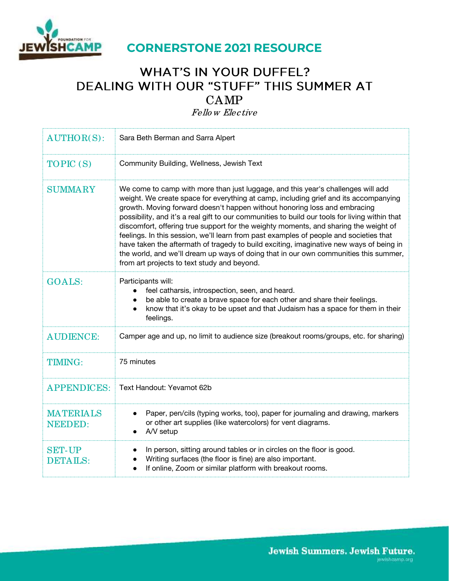

# **WHAT'S IN YOUR DUFFEL?** DEALING WITH OUR "STUFF" THIS SUMMER AT CAMP

Fello w Elective

| <b>AUTHOR(S):</b>                  | Sara Beth Berman and Sarra Alpert                                                                                                                                                                                                                                                                                                                                                                                                                                                                                                                                                                                                                                                                                                                                           |  |  |
|------------------------------------|-----------------------------------------------------------------------------------------------------------------------------------------------------------------------------------------------------------------------------------------------------------------------------------------------------------------------------------------------------------------------------------------------------------------------------------------------------------------------------------------------------------------------------------------------------------------------------------------------------------------------------------------------------------------------------------------------------------------------------------------------------------------------------|--|--|
| TOPIC (S)                          | Community Building, Wellness, Jewish Text                                                                                                                                                                                                                                                                                                                                                                                                                                                                                                                                                                                                                                                                                                                                   |  |  |
| <b>SUMMARY</b>                     | We come to camp with more than just luggage, and this year's challenges will add<br>weight. We create space for everything at camp, including grief and its accompanying<br>growth. Moving forward doesn't happen without honoring loss and embracing<br>possibility, and it's a real gift to our communities to build our tools for living within that<br>discomfort, offering true support for the weighty moments, and sharing the weight of<br>feelings. In this session, we'll learn from past examples of people and societies that<br>have taken the aftermath of tragedy to build exciting, imaginative new ways of being in<br>the world, and we'll dream up ways of doing that in our own communities this summer,<br>from art projects to text study and beyond. |  |  |
| <b>GOALS:</b>                      | Participants will:<br>feel catharsis, introspection, seen, and heard.<br>be able to create a brave space for each other and share their feelings.<br>know that it's okay to be upset and that Judaism has a space for them in their<br>feelings.                                                                                                                                                                                                                                                                                                                                                                                                                                                                                                                            |  |  |
| <b>AUDIENCE:</b>                   | Camper age and up, no limit to audience size (breakout rooms/groups, etc. for sharing)                                                                                                                                                                                                                                                                                                                                                                                                                                                                                                                                                                                                                                                                                      |  |  |
| <b>TIMING:</b>                     | 75 minutes                                                                                                                                                                                                                                                                                                                                                                                                                                                                                                                                                                                                                                                                                                                                                                  |  |  |
| <b>APPENDICES:</b>                 | Text Handout: Yevamot 62b                                                                                                                                                                                                                                                                                                                                                                                                                                                                                                                                                                                                                                                                                                                                                   |  |  |
| <b>MATERIALS</b><br><b>NEEDED:</b> | Paper, pen/cils (typing works, too), paper for journaling and drawing, markers<br>or other art supplies (like watercolors) for vent diagrams.<br>A/V setup                                                                                                                                                                                                                                                                                                                                                                                                                                                                                                                                                                                                                  |  |  |
| <b>SET-UP</b><br><b>DETAILS:</b>   | In person, sitting around tables or in circles on the floor is good.<br>Writing surfaces (the floor is fine) are also important.<br>If online, Zoom or similar platform with breakout rooms.                                                                                                                                                                                                                                                                                                                                                                                                                                                                                                                                                                                |  |  |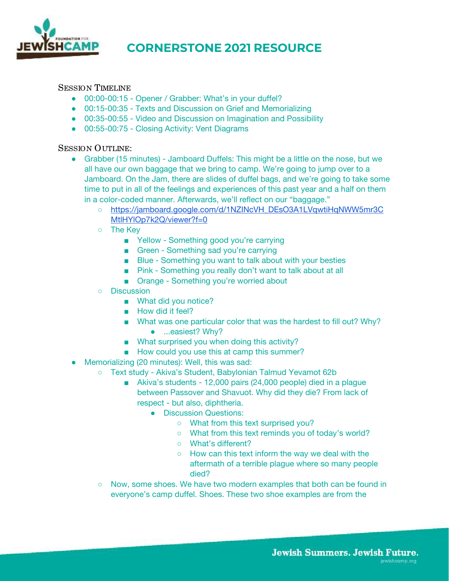

#### SESSION TIMELINE

- 00:00-00:15 Opener / Grabber: What's in your duffel?
- 00:15-00:35 Texts and Discussion on Grief and Memorializing
- 00:35-00:55 Video and Discussion on Imagination and Possibility
- 00:55-00:75 Closing Activity: Vent Diagrams

#### SESSION OUTLINE:

- Grabber (15 minutes) Jamboard Duffels: This might be a little on the nose, but we all have our own baggage that we bring to camp. We're going to jump over to a Jamboard. On the Jam, there are slides of duffel bags, and we're going to take some time to put in all of the feelings and experiences of this past year and a half on them in a color-coded manner. Afterwards, we'll reflect on our "baggage."
	- [https://jamboard.google.com/d/1NZINcVH\\_DEsO3A1LVqwtiHqNWW5mr3C](https://jamboard.google.com/d/1NZINcVH_DEsO3A1LVqwtiHqNWW5mr3CMtlHYlOp7k2Q/viewer?f=0) MtlHYlOp7k2Q/viewer?f=0
	- The Key
		- Yellow Something good you're carrying
		- Green Something sad you're carrying
		- Blue Something you want to talk about with your besties
		- Pink Something you really don't want to talk about at all
		- Orange Something you're worried about
	- Discussion
		- What did you notice?
		- How did it feel?
		- What was one particular color that was the hardest to fill out? Why?
			- ...easiest? Why?
		- What surprised you when doing this activity?
		- How could you use this at camp this summer?
- Memorializing (20 minutes): Well, this was sad:
	- Text study Akiva's Student, Babylonian Talmud Yevamot 62b
		- Akiva's students 12,000 pairs (24,000 people) died in a plague between Passover and Shavuot. Why did they die? From lack of respect - but also, diphtheria.
			- Discussion Questions:
				- What from this text surprised you?
				- What from this text reminds you of today's world?
				- What's different?
				- How can this text inform the way we deal with the aftermath of a terrible plague where so many people died?
		- Now, some shoes. We have two modern examples that both can be found in everyone's camp duffel. Shoes. These two shoe examples are from the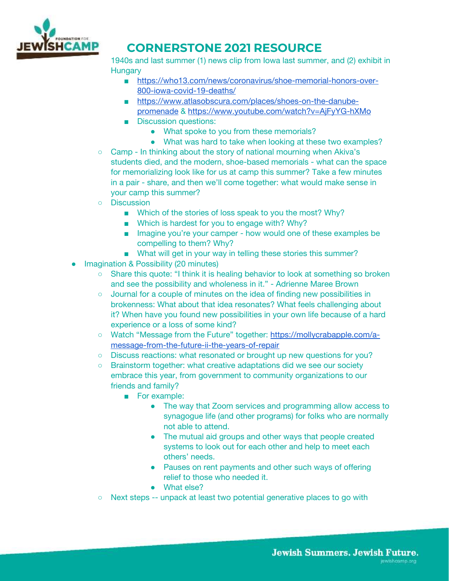

1940s and last summer (1) news clip from Iowa last summer, and (2) exhibit in **Hungary** 

- [https://who13.com/news/coronavirus/shoe-memorial-honors-over-](https://who13.com/news/coronavirus/shoe-memorial-honors-over-800-iowa-covid-19-deaths/)[800-iowa-covid-19-deaths/](https://who13.com/news/coronavirus/shoe-memorial-honors-over-800-iowa-covid-19-deaths/)
- [https://www.atlasobscura.com/places/shoes-on-the-danube](https://www.atlasobscura.com/places/shoes-on-the-danube-promenade)[promenade](https://www.atlasobscura.com/places/shoes-on-the-danube-promenade) &<https://www.youtube.com/watch?v=AjFyYG-hXMo>
- Discussion questions:
	- What spoke to you from these memorials?
	- What was hard to take when looking at these two examples?
- Camp In thinking about the story of national mourning when Akiva's students died, and the modern, shoe-based memorials - what can the space for memorializing look like for us at camp this summer? Take a few minutes in a pair - share, and then we'll come together: what would make sense in your camp this summer?
- Discussion
	- Which of the stories of loss speak to you the most? Why?
	- Which is hardest for you to engage with? Why?
	- Imagine you're your camper how would one of these examples be compelling to them? Why?
	- What will get in your way in telling these stories this summer?
- **Imagination & Possibility (20 minutes)** 
	- Share this quote: "I think it is healing behavior to look at something so broken and see the possibility and wholeness in it." - Adrienne Maree Brown
	- Journal for a couple of minutes on the idea of finding new possibilities in brokenness: What about that idea resonates? What feels challenging about it? When have you found new possibilities in your own life because of a hard experience or a loss of some kind?
	- Watch "Message from the Future" together: [https://mollycrabapple.com/a](https://mollycrabapple.com/a-message-from-the-future-ii-the-years-of-repair/)[message-from-the-future-ii-the-years-of-repair](https://mollycrabapple.com/a-message-from-the-future-ii-the-years-of-repair/)
	- Discuss reactions: what resonated or brought up new questions for you?
	- Brainstorm together: what creative adaptations did we see our society embrace this year, from government to community organizations to our friends and family?
		- For example:
			- The way that Zoom services and programming allow access to synagogue life (and other programs) for folks who are normally not able to attend.
			- The mutual aid groups and other ways that people created systems to look out for each other and help to meet each others' needs.
			- Pauses on rent payments and other such ways of offering relief to those who needed it.
			- What else?
	- Next steps -- unpack at least two potential generative places to go with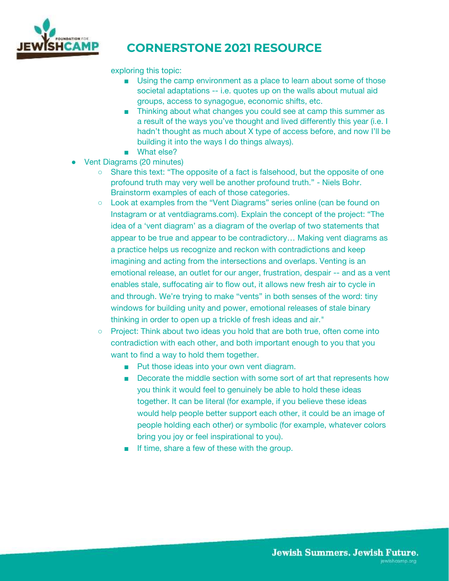

#### exploring this topic:

- Using the camp environment as a place to learn about some of those societal adaptations -- i.e. quotes up on the walls about mutual aid groups, access to synagogue, economic shifts, etc.
- Thinking about what changes you could see at camp this summer as a result of the ways you've thought and lived differently this year (i.e. I hadn't thought as much about X type of access before, and now I'll be building it into the ways I do things always).
- What else?
- Vent Diagrams (20 minutes)
	- Share this text: "The opposite of a fact is falsehood, but the opposite of one profound truth may very well be another profound truth." - Niels Bohr. Brainstorm examples of each of those categories.
	- Look at examples from the "Vent Diagrams" series online (can be found on Instagram or at ventdiagrams.com). Explain the concept of the project: "The idea of a 'vent diagram' as a diagram of the overlap of two statements that appear to be true and appear to be contradictory… Making vent diagrams as a practice helps us recognize and reckon with contradictions and keep imagining and acting from the intersections and overlaps. Venting is an emotional release, an outlet for our anger, frustration, despair -- and as a vent enables stale, suffocating air to flow out, it allows new fresh air to cycle in and through. We're trying to make "vents" in both senses of the word: tiny windows for building unity and power, emotional releases of stale binary thinking in order to open up a trickle of fresh ideas and air."
	- Project: Think about two ideas you hold that are both true, often come into contradiction with each other, and both important enough to you that you want to find a way to hold them together.
		- Put those ideas into your own vent diagram.
		- Decorate the middle section with some sort of art that represents how you think it would feel to genuinely be able to hold these ideas together. It can be literal (for example, if you believe these ideas would help people better support each other, it could be an image of people holding each other) or symbolic (for example, whatever colors bring you joy or feel inspirational to you).
		- If time, share a few of these with the group.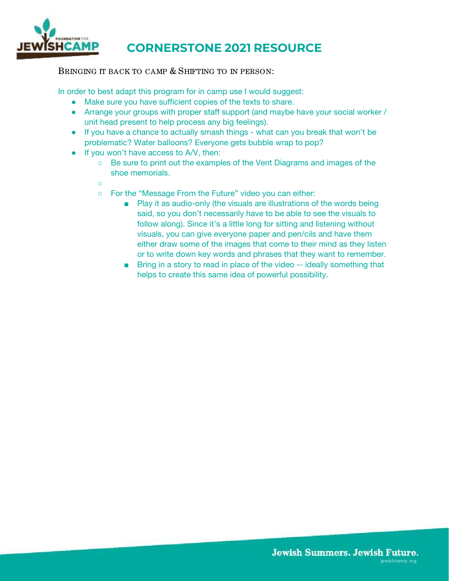

BRINGING IT BACK TO CAMP & SHIFTING TO IN PERSON:

In order to best adapt this program for in camp use I would suggest:

- Make sure you have sufficient copies of the texts to share.
- Arrange your groups with proper staff support (and maybe have your social worker / unit head present to help process any big feelings).
- If you have a chance to actually smash things what can you break that won't be problematic? Water balloons? Everyone gets bubble wrap to pop?
- If you won't have access to A/V, then:
	- Be sure to print out the examples of the Vent Diagrams and images of the shoe memorials.
	- $\Omega$
	- For the "Message From the Future" video you can either:
		- Play it as audio-only (the visuals are illustrations of the words being said, so you don't necessarily have to be able to see the visuals to follow along). Since it's a little long for sitting and listening without visuals, you can give everyone paper and pen/cils and have them either draw some of the images that come to their mind as they listen or to write down key words and phrases that they want to remember.
		- Bring in a story to read in place of the video -- ideally something that helps to create this same idea of powerful possibility.